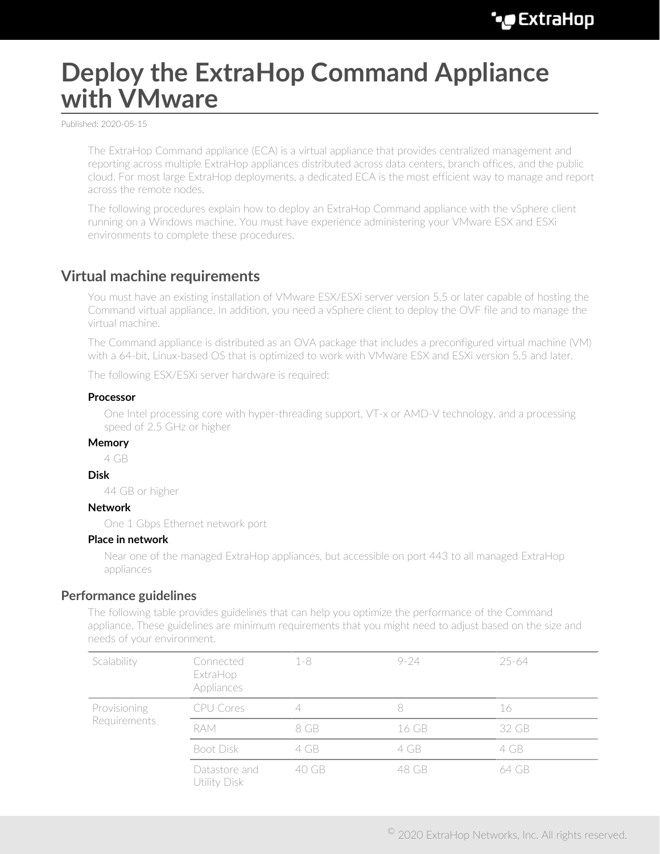# **Deploy the ExtraHop Command Appliance with VMware**

Published: 2020-05-15

The ExtraHop Command appliance (ECA) is a virtual appliance that provides centralized management and reporting across multiple ExtraHop appliances distributed across data centers, branch offices, and the public cloud. For most large ExtraHop deployments, a dedicated ECA is the most efficient way to manage and report across the remote nodes.

The following procedures explain how to deploy an ExtraHop Command appliance with the vSphere client running on a Windows machine. You must have experience administering your VMware ESX and ESXi environments to complete these procedures.

# **Virtual machine requirements**

You must have an existing installation of VMware ESX/ESXi server version 5.5 or later capable of hosting the Command virtual appliance. In addition, you need a vSphere client to deploy the OVF file and to manage the virtual machine.

The Command appliance is distributed as an OVA package that includes a preconfigured virtual machine (VM) with a 64-bit, Linux-based OS that is optimized to work with VMware ESX and ESXi version 5.5 and later.

The following ESX/ESXi server hardware is required:

## **Processor**

One Intel processing core with hyper-threading support, VT-x or AMD-V technology, and a processing speed of 2.5 GHz or higher

### **Memory**

4 GB

### **Disk**

44 GB or higher

## **Network**

One 1 Gbps Ethernet network port

### **Place in network**

Near one of the managed ExtraHop appliances, but accessible on port 443 to all managed ExtraHop appliances

# **Performance guidelines**

The following table provides guidelines that can help you optimize the performance of the Command appliance. These guidelines are minimum requirements that you might need to adjust based on the size and needs of your environment.

| Connected<br>ExtraHop<br>Appliances | $1 - 8$ | $9 - 24$ | 25-64 |  |
|-------------------------------------|---------|----------|-------|--|
| <b>CPU Cores</b>                    |         |          | 16    |  |
| RAM.                                | 8 GB    | 16 GB    | 32 GB |  |
| Boot Disk                           | 4 GB    | 4 GB     | 4 GB  |  |
| Datastore and<br>Utility Disk       | 40 GB   | 48 GB    | 64 GB |  |
|                                     |         |          |       |  |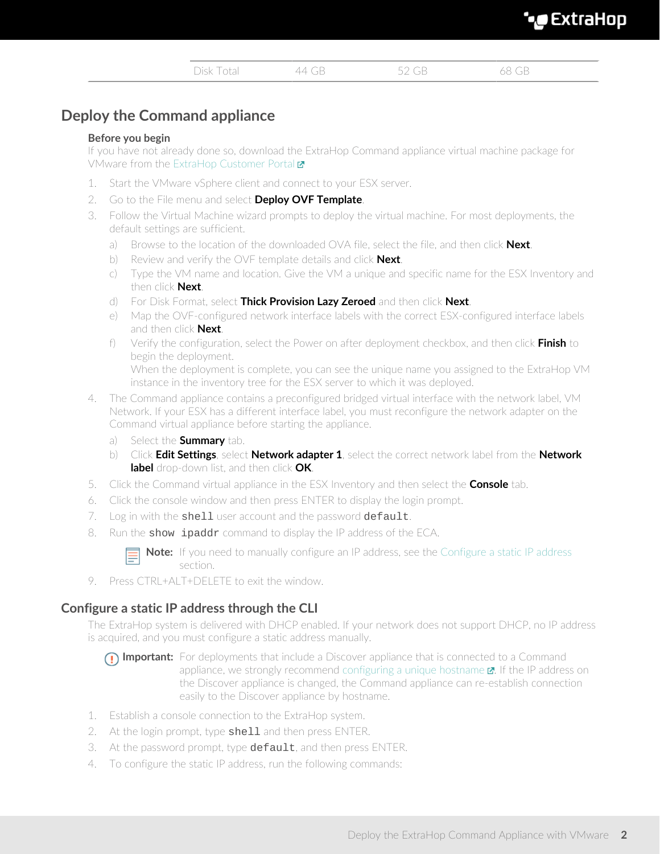| XTI | an | nn |  |
|-----|----|----|--|
|     |    |    |  |

| ╮.<br>10,000<br>$\sim$<br>$\overline{\phantom{a}}$ | <b>STATE</b><br>the contract of the contract of the |  |
|----------------------------------------------------|-----------------------------------------------------|--|

# **Deploy the Command appliance**

# **Before you begin**

If you have not already done so, download the ExtraHop Command appliance virtual machine package for VMware from the [ExtraHop Customer Portal](https://customers.extrahop.com/downloads/virtual-appliances)  $\blacksquare$ 

- 1. Start the VMware vSphere client and connect to your ESX server.
- 2. Go to the File menu and select **Deploy OVF Template**.
- 3. Follow the Virtual Machine wizard prompts to deploy the virtual machine. For most deployments, the default settings are sufficient.
	- a) Browse to the location of the downloaded OVA file, select the file, and then click **Next**.
	- b) Review and verify the OVF template details and click **Next**.
	- c) Type the VM name and location. Give the VM a unique and specific name for the ESX Inventory and then click **Next**.
	- d) For Disk Format, select **Thick Provision Lazy Zeroed** and then click **Next**.
	- e) Map the OVF-configured network interface labels with the correct ESX-configured interface labels and then click **Next**.
	- f) Verify the configuration, select the Power on after deployment checkbox, and then click **Finish** to begin the deployment. When the deployment is complete, you can see the unique name you assigned to the ExtraHop VM instance in the inventory tree for the ESX server to which it was deployed.
- 4. The Command appliance contains a preconfigured bridged virtual interface with the network label, VM Network. If your ESX has a different interface label, you must reconfigure the network adapter on the Command virtual appliance before starting the appliance.
	- a) Select the **Summary** tab.
	- b) Click **Edit Settings**, select **Network adapter 1**, select the correct network label from the **Network label** drop-down list, and then click **OK**.
- 5. Click the Command virtual appliance in the ESX Inventory and then select the **Console** tab.
- 6. Click the console window and then press ENTER to display the login prompt.
- 7. Log in with the shell user account and the password default.
- 8. Run the show ipaddr command to display the IP address of the ECA.

**Note:** If you need to manually configure an IP address, see the [Configure a static IP address](#page-1-0) section.

9. Press CTRL+ALT+DELETE to exit the window.

# <span id="page-1-0"></span>**Configure a static IP address through the CLI**

The ExtraHop system is delivered with DHCP enabled. If your network does not support DHCP, no IP address is acquired, and you must configure a static address manually.

**Important:** For deployments that include a Discover appliance that is connected to a Command appliance, we strongly recommend configuring a unique hostname  $\mathbb{Z}$ . If the IP address on the Discover appliance is changed, the Command appliance can re-establish connection easily to the Discover appliance by hostname.

- 1. Establish a console connection to the ExtraHop system.
- 2. At the login prompt, type shell and then press ENTER.
- 3. At the password prompt, type default, and then press ENTER.
- 4. To configure the static IP address, run the following commands: